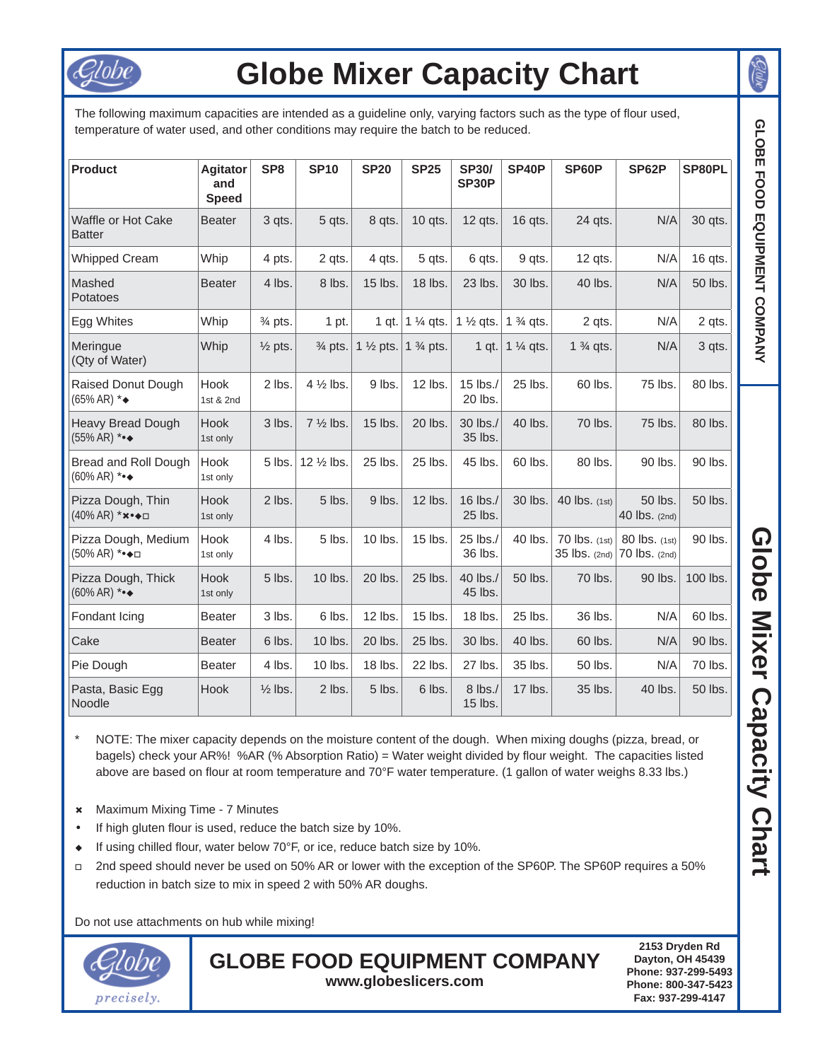

## **Globe Mixer Capacity Chart**

The following maximum capacities are intended as a quideline only, varying factors such as the type of flour used, temperature of water used, and other conditions may require the batch to be reduced.

| <b>Product</b>                                                  | <b>Agitator</b><br>and<br><b>Speed</b> | SP <sub>8</sub>    | <b>SP10</b>         | <b>SP20</b>                               | <b>SP25</b>                 | <b>SP30/</b><br>SP30P           | SP40P                | SP60P                          | SP62P                          | SP80PL   |
|-----------------------------------------------------------------|----------------------------------------|--------------------|---------------------|-------------------------------------------|-----------------------------|---------------------------------|----------------------|--------------------------------|--------------------------------|----------|
| Waffle or Hot Cake<br><b>Batter</b>                             | <b>Beater</b>                          | 3 qts.             | 5 qts.              | 8 qts.                                    | 10 qts.                     | 12 qts.                         | 16 qts.              | 24 qts.                        | N/A                            | 30 qts.  |
| <b>Whipped Cream</b>                                            | Whip                                   | 4 pts.             | 2 qts.              | 4 qts.                                    | 5 qts.                      | 6 qts.                          | 9 qts.               | $12$ qts.                      | N/A                            | 16 qts.  |
| Mashed<br>Potatoes                                              | <b>Beater</b>                          | 4 lbs.             | 8 lbs.              | 15 lbs.                                   | 18 lbs.                     | 23 lbs.                         | 30 lbs.              | 40 lbs.                        | N/A                            | 50 lbs.  |
| Egg Whites                                                      | Whip                                   | $\frac{3}{4}$ pts. | 1 pt.               |                                           | 1 gt.   $1\frac{1}{4}$ gts. | 1 $\frac{1}{2}$ qts.            | 1 $\frac{3}{4}$ qts. | 2 qts.                         | N/A                            | 2 qts.   |
| Meringue<br>(Qty of Water)                                      | Whip                                   | $\frac{1}{2}$ pts. | $\frac{3}{4}$ pts.  | 1 $\frac{1}{2}$ pts. 1 $\frac{3}{4}$ pts. |                             | $1$ qt.                         | 1 $\frac{1}{4}$ qts. | $1\frac{3}{4}$ qts.            | N/A                            | 3 qts.   |
| Raised Donut Dough<br>$(65\% AR)$ * $\bullet$                   | Hook<br>1st & 2nd                      | 2 lbs.             | 4 1/2 lbs.          | 9 lbs.                                    | 12 lbs.                     | 15 lbs./<br>20 lbs.             | 25 lbs.              | 60 lbs.                        | 75 lbs.                        | 80 lbs.  |
| <b>Heavy Bread Dough</b><br>$(55% AR)$ ***                      | <b>Hook</b><br>1st only                | 3 lbs.             | $7\frac{1}{2}$ lbs. | 15 lbs.                                   | 20 lbs.                     | 30 lbs./<br>35 lbs.             | 40 lbs.              | 70 lbs.                        | 75 lbs.                        | 80 lbs.  |
| Bread and Roll Dough<br>$(60\% AR)$ ***                         | Hook<br>1st only                       | 5 lbs.             | 12 1/2 lbs.         | 25 lbs.                                   | 25 lbs.                     | 45 lbs.                         | 60 lbs.              | 80 lbs.                        | 90 lbs.                        | 90 lbs.  |
| Pizza Dough, Thin<br>$(40\%$ AR) * $\star \bullet \bullet \Box$ | <b>Hook</b><br>1st only                | 2 lbs.             | 5 lbs.              | 9 lbs.                                    | 12 lbs.                     | 16 $\mathsf{lbs}$ ./<br>25 lbs. | 30 lbs.              | 40 lbs. (1st)                  | 50 lbs.<br>40 lbs. (2nd)       | 50 lbs.  |
| Pizza Dough, Medium<br>(50% AR) *●◆□                            | Hook<br>1st only                       | 4 lbs.             | 5 lbs.              | 10 lbs.                                   | 15 lbs.                     | 25 lbs./<br>36 lbs.             | 40 lbs.              | 70 lbs. (1st)<br>35 lbs. (2nd) | 80 lbs. (1st)<br>70 lbs. (2nd) | 90 lbs.  |
| Pizza Dough, Thick<br>$(60\% AR)$ ***                           | Hook<br>1st only                       | 5 lbs.             | 10 lbs.             | 20 lbs.                                   | 25 lbs.                     | 40 lbs./<br>45 lbs.             | 50 lbs.              | 70 lbs.                        | 90 lbs.                        | 100 lbs. |
| Fondant Icing                                                   | Beater                                 | 3 lbs.             | 6 lbs.              | 12 lbs.                                   | 15 lbs.                     | 18 lbs.                         | 25 lbs.              | 36 lbs.                        | N/A                            | 60 lbs.  |
| Cake                                                            | <b>Beater</b>                          | 6 lbs.             | 10 lbs.             | 20 lbs.                                   | 25 lbs.                     | 30 lbs.                         | 40 lbs.              | 60 lbs.                        | N/A                            | 90 lbs.  |
| Pie Dough                                                       | <b>Beater</b>                          | 4 lbs.             | 10 lbs.             | 18 lbs.                                   | 22 lbs.                     | 27 lbs.                         | 35 lbs.              | 50 lbs.                        | N/A                            | 70 lbs.  |
| Pasta, Basic Egg<br>Noodle                                      | Hook                                   | $\frac{1}{2}$ lbs. | 2 lbs.              | 5 lbs.                                    | 6 lbs.                      | 8 lbs./<br>15 lbs.              | 17 lbs.              | 35 lbs.                        | 40 lbs.                        | 50 lbs.  |

NOTE: The mixer capacity depends on the moisture content of the dough. When mixing doughs (pizza, bread, or bagels) check your AR%! %AR (% Absorption Ratio) = Water weight divided by flour weight. The capacities listed above are based on flour at room temperature and 70°F water temperature. (1 gallon of water weighs 8.33 lbs.)

- \* Maximum Mixing Time 7 Minutes
- If high gluten flour is used, reduce the batch size by 10%.
- $\bullet$  If using chilled flour, water below 70°F, or ice, reduce batch size by 10%.
- 2nd speed should never be used on 50% AR or lower with the exception of the SP60P. The SP60P requires a 50% reduction in batch size to mix in speed 2 with 50% AR doughs.

Do not use attachments on hub while mixing!



**GLOBE FOOD EQUIPMENT COMPANY www.globeslicers.com**

**2153 Dryden Rd Dayton, OH 45439 Phone: 937-299-5493 Phone: 800-347-5423 Fax: 937-299-4147**

GLOBE FOOD EQUIPMENT COMPANY | GODOB MIXE**r Capacity Chart** Globe Mixer Capacity Chart

sim

GLOBE FOOD EQUIPMENT COMPANY